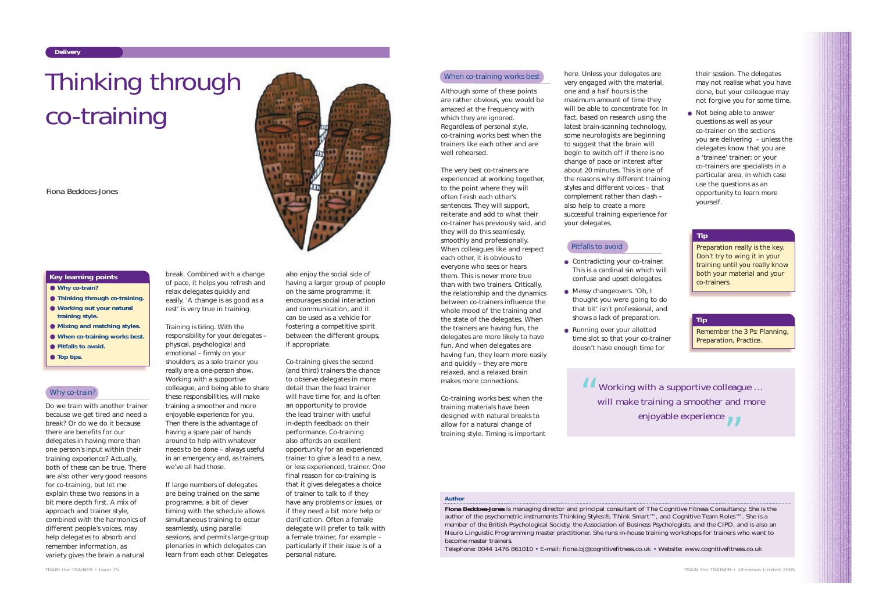Do we train with another trainer because we get tired and need a break? Or do we do it because there are benefits for our delegates in having more than one person's input within their training experience? Actually, both of these can be true. There are also other very good reasons for co-training, but let me explain these two reasons in a bit more depth first. A mix of approach and trainer style, combined with the harmonics of different people's voices, may help delegates to absorb and remember information, as variety gives the brain a natural

break. Combined with a change of pace, it helps you refresh and relax delegates quickly and easily. 'A change is as good as a rest' is very true in training.

Training is tiring. With the responsibility for your delegates – physical, psychological and emotional – firmly on your shoulders, as a solo trainer you really are a one-person show. Working with a supportive colleague, and being able to share these responsibilities, will make training a smoother and more enjoyable experience for you. Then there is the advantage of having a spare pair of hands around to help with whatever needs to be done – always useful in an emergency and, as trainers, we've all had those.

If large numbers of delegates are being trained on the same programme, a bit of clever timing with the schedule allows simultaneous training to occur seamlessly, using parallel sessions, and permits large-group plenaries in which delegates can learn from each other. Delegates

also enjoy the social side of having a larger group of people on the same programme; it encourages social interaction and communication, and it can be used as a vehicle for fostering a competitive spirit between the different groups, if appropriate.

Co-training gives the second (and third) trainers the chance to observe delegates in more detail than the lead trainer will have time for, and is often an opportunity to provide the lead trainer with useful in-depth feedback on their performance. Co-training also affords an excellent opportunity for an experienced trainer to give a lead to a new, or less experienced, trainer. One final reason for co-training is that it gives delegates a choice of trainer to talk to if they have any problems or issues, or if they need a bit more help or clarification. Often a female delegate will prefer to talk with a female trainer, for example – particularly if their issue is of a personal nature.

#### When co-training works best



- **Why co-train?**
- **Thinking through co-training.**
- Working out your natural **training style.**
- **Mixing and matching styles.**
- **When co-training works best.**
- **Pitfalls to avoid.**
- **Top tips.**

## Why co-train?

#### **Key learning points**

#### *Author*

- Contradicting your co-trainer. This is a cardinal sin which will confuse and upset delegates.
- Messy changeovers. 'Oh, I thought you were going to do that bit' isn't professional, and shows a lack of preparation.
- Running over your allotted time slot so that your co-trainer doesn't have enough time for

● Not being able to answer questions as well as your co-trainer on the sections you are delivering – unless the delegates know that you are <sup>a</sup>'trainee' trainer; or your co-trainers are specialists in a particular area, in which case use the questions as an opportunity to learn more yourself.

**Fiona Beddoes-Jones** is managing director and principal consultant of The Cognitive Fitness Consultancy. She is the author of the psychometric instruments Thinking Styles®, Think Smart™, and Cognitive Team Roles™. She is a member of the British Psychological Society, the Association of Business Psychologists, and the CIPD, and is also an Neuro Linguistic Programming master practitioner. She runs in-house training workshops for trainers who want to become master trainers.

*Working with a supportive colleague … will make training a smoother and more enjoyable experience* " $\bigg)$ 

Telephone: 0044 1476 861010 • E-mail: fiona.bj@cognitivefitness.co.uk • Website: www.cognitivefitness.co.uk

# Thinking through co-training

*Fiona Beddoes-Jones*

Although some of these points are rather obvious, you would be amazed at the frequency with which they are ignored. Regardless of personal style, co-training works best when the trainers like each other and are well rehearsed.

The very best co-trainers are experienced at working together, to the point where they will often finish each other's sentences. They will support, reiterate and add to what their co-trainer has previously said, and they will do this seamlessly, smoothly and professionally. When colleagues like and respect each other, it is obvious to everyone who sees or hears them. This is never more true than with two trainers. Critically, the relationship and the dynamics between co-trainers influence the whole mood of the training and the state of the delegates. When the trainers are having fun, the delegates are more likely to have fun. And when delegates are having fun, they learn more easily and quickly – they are more relaxed, and a relaxed brain makes more connections.

Co-training works best when the training materials have been designed with natural breaks to allow for a natural change of training style. Timing is important

here. Unless your delegates are very engaged with the material, one and a half hours is the maximum amount of time they will be able to concentrate for. In fact, based on research using the latest brain-scanning technology, some neurologists are beginning to suggest that the brain will begin to switch off if there is no change of pace or interest after about 20 minutes. This is one of the reasons why different training styles and different voices – that complement rather than clash – also help to create a more successful training experience for your delegates.

their session. The delegates may not realise what you have done, but your colleague may not forgive you for some time.

Preparation really is the key. Don't try to wing it in your training until you really know both your material and your co-trainers.

#### **Tip**

Remember the 3 Ps: Planning, Preparation, Practice.

#### **Tip**

### Pitfalls to avoid